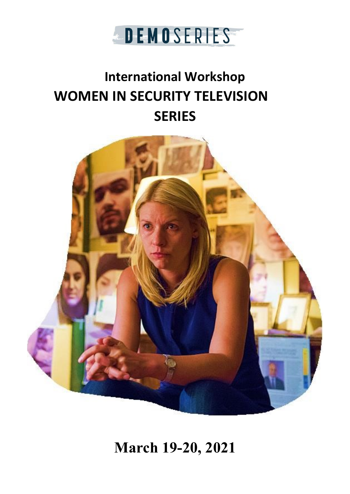

# **International Workshop WOMEN IN SECURITY TELEVISION SERIES**



**March 19-20, 2021**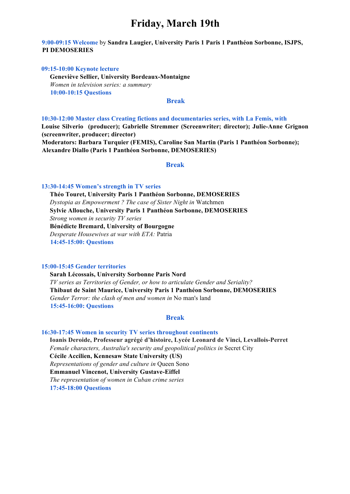# **Friday, March 19th**

### **9:00-09:15 Welcome** by **Sandra Laugier, University Paris 1 Paris 1 Panthéon Sorbonne, ISJPS, PI DEMOSERIES**

### **09:15-10:00 Keynote lecture**

 **Geneviève Sellier, University Bordeaux-Montaigne**   *Women in television series: a summary*  **10:00-10:15 Questions**

### **Break**

**10:30-12:00 Master class Creating fictions and documentaries series, with La Femis, with Louise Silverio (producer); Gabrielle Stremmer (Screenwriter; director); Julie-Anne Grignon (screenwriter, producer; director)**

**Moderators: Barbara Turquier (FEMIS), Caroline San Martin (Paris 1 Panthéon Sorbonne); Alexandre Diallo (Paris 1 Panthéon Sorbonne, DEMOSERIES)** 

### **Break**

### **13:30-14:45 Women's strength in TV series**

**Théo Touret, University Paris 1 Panthéon Sorbonne, DEMOSERIES** *Dystopia as Empowerment ? The case of Sister Night in* Watchmen **Sylvie Allouche, University Paris 1 Panthéon Sorbonne, DEMOSERIES** *Strong women in security TV series*  **Bénédicte Bremard, University of Bourgogne** *Desperate Housewives at war with ETA:* Patria **14:45-15:00: Questions** 

#### **15:00-15:45 Gender territories**

**Sarah Lécossais, University Sorbonne Paris Nord** *TV series as Territories of Gender, or how to articulate Gender and Seriality?* **Thibaut de Saint Maurice, University Paris 1 Panthéon Sorbonne, DEMOSERIES**  *Gender Terror: the clash of men and women in* No man's land **15:45-16:00: Questions** 

### **Break**

### **16:30-17:45 Women in security TV series throughout continents**

**Ioanis Deroide, Professeur agrégé d'histoire, Lycée Leonard de Vinci, Levallois-Perret** *Female characters, Australia's security and geopolitical politics in* Secret City  **Cécile Accilien, Kennesaw State University (US)** *Representations of gender and culture in* Queen Sono **Emmanuel Vincenot, University Gustave-Eiffel** *The representation of women in Cuban crime series*  **17:45-18:00 Questions**